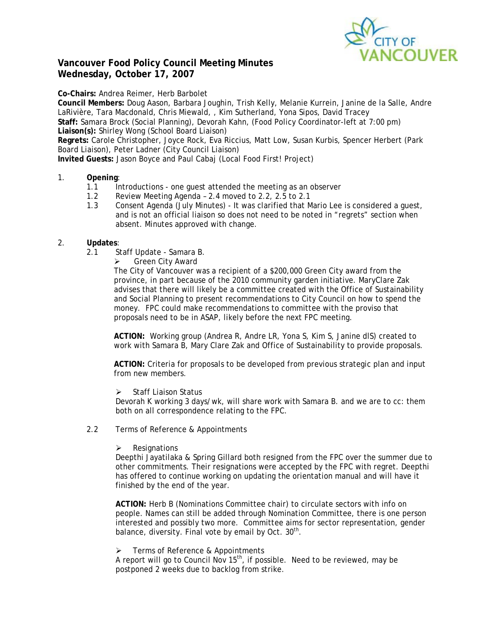

# **Vancouver Food Policy Council Meeting Minutes Wednesday, October 17, 2007**

**Co-Chairs:** Andrea Reimer, Herb Barbolet

**Council Members:** Doug Aason, Barbara Joughin, Trish Kelly, Melanie Kurrein, Janine de la Salle, Andre LaRivière, Tara Macdonald, Chris Miewald, , Kim Sutherland, Yona Sipos, David Tracey **Staff:** Samara Brock (Social Planning), Devorah Kahn, (Food Policy Coordinator-left at 7:00 pm) **Liaison(s):** Shirley Wong (School Board Liaison)

**Regrets:** Carole Christopher, Joyce Rock, Eva Riccius, Matt Low, Susan Kurbis, Spencer Herbert (Park Board Liaison), Peter Ladner (City Council Liaison)

**Invited Guests:** Jason Boyce and Paul Cabaj (Local Food First! Project)

## 1. **Opening**:

- 1.1 Introductions one quest attended the meeting as an observer
- 1.2 Review Meeting Agenda 2.4 moved to 2.2, 2.5 to 2.1
- 1.3 Consent Agenda (July Minutes) It was clarified that Mario Lee is considered a guest, and is not an official liaison so does not need to be noted in "regrets" section when absent. Minutes approved with change.

## 2. **Updates**:

- 2.1 Staff Update Samara B.
	- ¾ Green City Award

The City of Vancouver was a recipient of a \$200,000 Green City award from the province, in part because of the 2010 community garden initiative. MaryClare Zak advises that there will likely be a committee created with the Office of Sustainability and Social Planning to present recommendations to City Council on how to spend the money. FPC could make recommendations to committee with the proviso that proposals need to be in ASAP, likely before the next FPC meeting.

**ACTION:** Working group (Andrea R, Andre LR, Yona S, Kim S, Janine dlS) created to work with Samara B, Mary Clare Zak and Office of Sustainability to provide proposals.

**ACTION:** Criteria for proposals to be developed from previous strategic plan and input from new members.

¾ Staff Liaison Status

Devorah K working 3 days/wk, will share work with Samara B. and we are to cc: them both on all correspondence relating to the FPC.

### 2.2 Terms of Reference & Appointments

 $\triangleright$  Resignations

Deepthi Jayatilaka & Spring Gillard both resigned from the FPC over the summer due to other commitments. Their resignations were accepted by the FPC with regret. Deepthi has offered to continue working on updating the orientation manual and will have it finished by the end of the year.

**ACTION:** Herb B (Nominations Committee chair) to circulate sectors with info on people. Names can still be added through Nomination Committee, there is one person interested and possibly two more. Committee aims for sector representation, gender balance, diversity. Final vote by email by Oct.  $30<sup>th</sup>$ .

 $\triangleright$  Terms of Reference & Appointments

A report will go to Council Nov  $15^{th}$ , if possible. Need to be reviewed, may be postponed 2 weeks due to backlog from strike.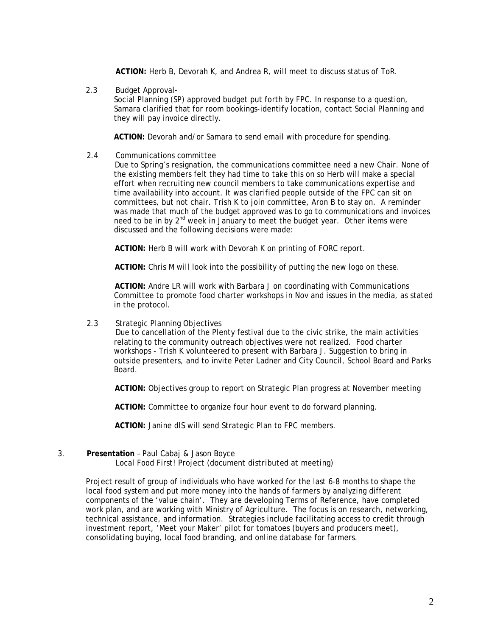**ACTION:** Herb B, Devorah K, and Andrea R, will meet to discuss status of ToR.

2.3 Budget Approval-

Social Planning (SP) approved budget put forth by FPC. In response to a question, Samara clarified that for room bookings-identify location, contact Social Planning and they will pay invoice directly.

**ACTION:** Devorah and/or Samara to send email with procedure for spending.

2.4 Communications committee

Due to Spring's resignation, the communications committee need a new Chair. None of the existing members felt they had time to take this on so Herb will make a special effort when recruiting new council members to take communications expertise and time availability into account. It was clarified people outside of the FPC can sit on committees, but not chair. Trish K to join committee, Aron B to stay on. A reminder was made that much of the budget approved was to go to communications and invoices need to be in by 2<sup>nd</sup> week in January to meet the budget year. Other items were discussed and the following decisions were made:

**ACTION:** Herb B will work with Devorah K on printing of FORC report.

**ACTION:** Chris M will look into the possibility of putting the new logo on these.

**ACTION:** Andre LR will work with Barbara J on coordinating with Communications Committee to promote food charter workshops in Nov and issues in the media, as stated in the protocol.

2.3 Strategic Planning Objectives

 Due to cancellation of the Plenty festival due to the civic strike, the main activities relating to the community outreach objectives were not realized. Food charter workshops - Trish K volunteered to present with Barbara J. Suggestion to bring in outside presenters, and to invite Peter Ladner and City Council, School Board and Parks Board.

**ACTION:** Objectives group to report on Strategic Plan progress at November meeting

**ACTION:** Committee to organize four hour event to do forward planning.

**ACTION:** Janine dlS will send Strategic Plan to FPC members.

3. **Presentation** – Paul Cabaj & Jason Boyce

Local Food First! Project *(document distributed at meeting)* 

Project result of group of individuals who have worked for the last 6-8 months to shape the local food system and put more money into the hands of farmers by analyzing different components of the 'value chain'. They are developing Terms of Reference, have completed work plan, and are working with Ministry of Agriculture. The focus is on research, networking, technical assistance, and information. Strategies include facilitating access to credit through investment report, 'Meet your Maker' pilot for tomatoes (buyers and producers meet), consolidating buying, local food branding, and online database for farmers.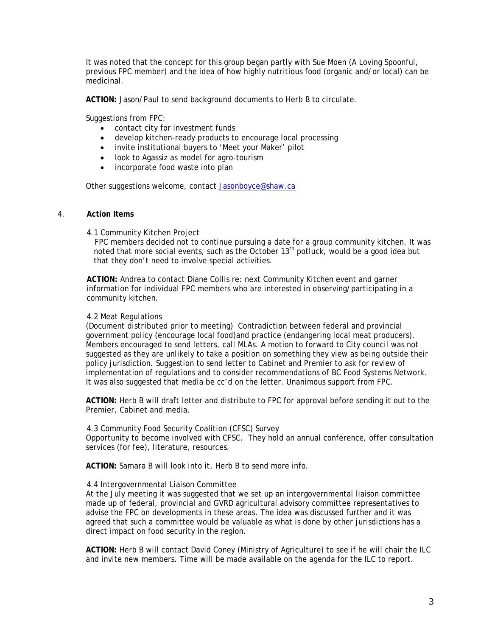It was noted that the concept for this group began partly with Sue Moen (A Loving Spoonful, previous FPC member) and the idea of how highly nutritious food (organic and/or local) can be medicinal.

**ACTION:** Jason/Paul to send background documents to Herb B to circulate.

Suggestions from FPC:

- contact city for investment funds
- develop kitchen-ready products to encourage local processing
- invite institutional buyers to 'Meet your Maker' pilot
- look to Agassiz as model for agro-tourism
- incorporate food waste into plan

Other suggestions welcome, contact Jasonboyce@shaw.ca

#### 4. **Action Items**

4.1 Community Kitchen Project

FPC members decided not to continue pursuing a date for a group community kitchen. It was noted that more social events, such as the October  $13<sup>th</sup>$  potluck, would be a good idea but that they don't need to involve special activities.

**ACTION:** Andrea to contact Diane Collis re: next Community Kitchen event and garner information for individual FPC members who are interested in observing/participating in a community kitchen.

#### 4.2 Meat Regulations

(*Document distributed prior to meeting*) Contradiction between federal and provincial government policy (encourage local food)and practice (endangering local meat producers). Members encouraged to send letters, call MLAs. A motion to forward to City council was not suggested as they are unlikely to take a position on something they view as being outside their policy jurisdiction. Suggestion to send letter to Cabinet and Premier to ask for review of implementation of regulations and to consider recommendations of BC Food Systems Network. It was also suggested that media be cc'd on the letter. Unanimous support from FPC.

**ACTION:** Herb B will draft letter and distribute to FPC for approval before sending it out to the Premier, Cabinet and media.

#### 4.3 Community Food Security Coalition (CFSC) Survey

Opportunity to become involved with CFSC. They hold an annual conference, offer consultation services (for fee), literature, resources.

**ACTION:** Samara B will look into it, Herb B to send more info.

#### 4.4 Intergovernmental Liaison Committee

At the July meeting it was suggested that we set up an intergovernmental liaison committee made up of federal, provincial and GVRD agricultural advisory committee representatives to advise the FPC on developments in these areas. The idea was discussed further and it was agreed that such a committee would be valuable as what is done by other jurisdictions has a direct impact on food security in the region.

**ACTION:** Herb B will contact David Coney (Ministry of Agriculture) to see if he will chair the ILC and invite new members. Time will be made available on the agenda for the ILC to report.